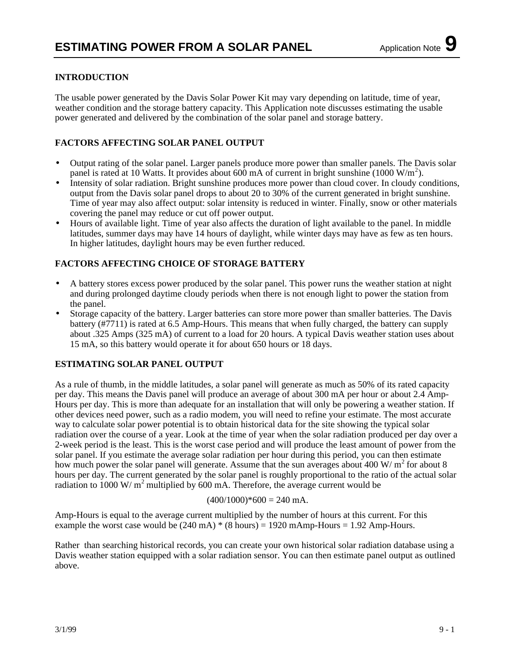### **INTRODUCTION**

The usable power generated by the Davis Solar Power Kit may vary depending on latitude, time of year, weather condition and the storage battery capacity. This Application note discusses estimating the usable power generated and delivered by the combination of the solar panel and storage battery.

## **FACTORS AFFECTING SOLAR PANEL OUTPUT**

- Output rating of the solar panel. Larger panels produce more power than smaller panels. The Davis solar panel is rated at 10 Watts. It provides about 600 mA of current in bright sunshine (1000 W/m<sup>2</sup>).
- Intensity of solar radiation. Bright sunshine produces more power than cloud cover. In cloudy conditions, output from the Davis solar panel drops to about 20 to 30% of the current generated in bright sunshine. Time of year may also affect output: solar intensity is reduced in winter. Finally, snow or other materials covering the panel may reduce or cut off power output.
- Hours of available light. Time of year also affects the duration of light available to the panel. In middle latitudes, summer days may have 14 hours of daylight, while winter days may have as few as ten hours. In higher latitudes, daylight hours may be even further reduced.

### **FACTORS AFFECTING CHOICE OF STORAGE BATTERY**

- A battery stores excess power produced by the solar panel. This power runs the weather station at night and during prolonged daytime cloudy periods when there is not enough light to power the station from the panel.
- Storage capacity of the battery. Larger batteries can store more power than smaller batteries. The Davis battery (#7711) is rated at 6.5 Amp-Hours. This means that when fully charged, the battery can supply about .325 Amps (325 mA) of current to a load for 20 hours. A typical Davis weather station uses about 15 mA, so this battery would operate it for about 650 hours or 18 days.

### **ESTIMATING SOLAR PANEL OUTPUT**

As a rule of thumb, in the middle latitudes, a solar panel will generate as much as 50% of its rated capacity per day. This means the Davis panel will produce an average of about 300 mA per hour or about 2.4 Amp-Hours per day. This is more than adequate for an installation that will only be powering a weather station. If other devices need power, such as a radio modem, you will need to refine your estimate. The most accurate way to calculate solar power potential is to obtain historical data for the site showing the typical solar radiation over the course of a year. Look at the time of year when the solar radiation produced per day over a 2-week period is the least. This is the worst case period and will produce the least amount of power from the solar panel. If you estimate the average solar radiation per hour during this period, you can then estimate how much power the solar panel will generate. Assume that the sun averages about 400 W/ $m^2$  for about 8 hours per day. The current generated by the solar panel is roughly proportional to the ratio of the actual solar radiation to 1000 W/ $m<sup>2</sup>$  multiplied by 600 mA. Therefore, the average current would be

#### $(400/1000)*600 = 240$  mA.

Amp-Hours is equal to the average current multiplied by the number of hours at this current. For this example the worst case would be  $(240 \text{ mA})$  \*  $(8 \text{ hours}) = 1920 \text{ mAmp}$ -Hours = 1.92 Amp-Hours.

Rather than searching historical records, you can create your own historical solar radiation database using a Davis weather station equipped with a solar radiation sensor. You can then estimate panel output as outlined above.